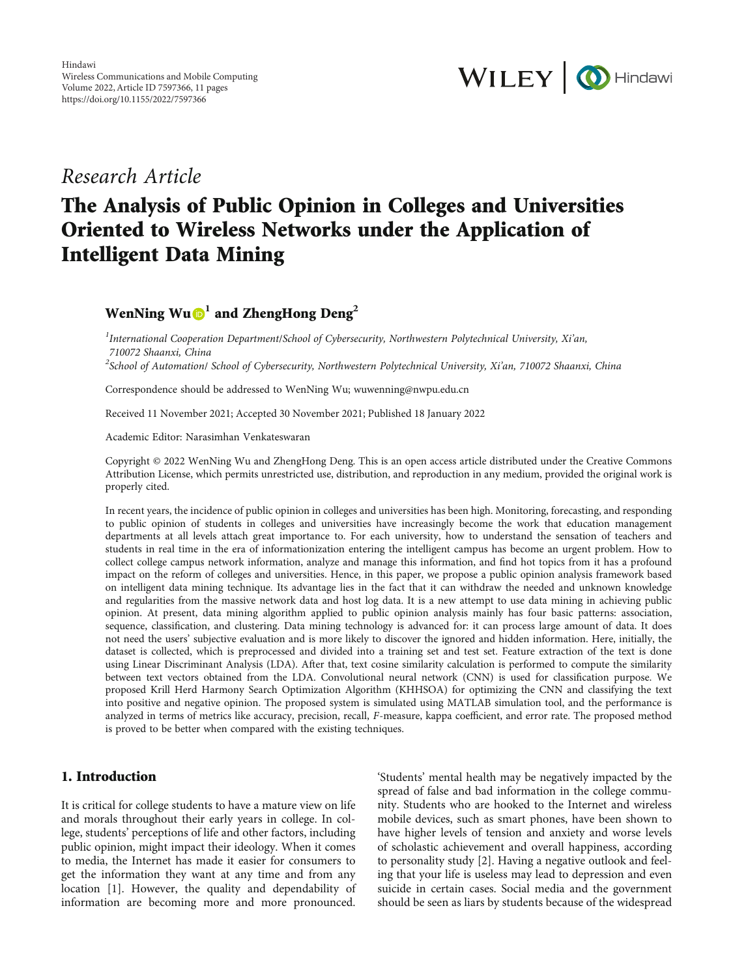

## Research Article

# The Analysis of Public Opinion in Colleges and Universities Oriented to Wireless Networks under the Application of Intelligent Data Mining

### WenNing  $Wu \oplus 1$  $Wu \oplus 1$  and ZhengHong Deng<sup>2</sup>

 $^{1}$ International Cooperation Department/School of Cybersecurity, Northwestern Polytechnical University, Xi'an, 710072 Shaanxi, China  $^2$ School of Automation/ School of Cybersecurity, Northwestern Polytechnical University, Xi'an, 710072 Shaanxi, China

Correspondence should be addressed to WenNing Wu; wuwenning@nwpu.edu.cn

Received 11 November 2021; Accepted 30 November 2021; Published 18 January 2022

Academic Editor: Narasimhan Venkateswaran

Copyright © 2022 WenNing Wu and ZhengHong Deng. This is an open access article distributed under the [Creative Commons](https://creativecommons.org/licenses/by/4.0/) [Attribution License,](https://creativecommons.org/licenses/by/4.0/) which permits unrestricted use, distribution, and reproduction in any medium, provided the original work is properly cited.

In recent years, the incidence of public opinion in colleges and universities has been high. Monitoring, forecasting, and responding to public opinion of students in colleges and universities have increasingly become the work that education management departments at all levels attach great importance to. For each university, how to understand the sensation of teachers and students in real time in the era of informationization entering the intelligent campus has become an urgent problem. How to collect college campus network information, analyze and manage this information, and find hot topics from it has a profound impact on the reform of colleges and universities. Hence, in this paper, we propose a public opinion analysis framework based on intelligent data mining technique. Its advantage lies in the fact that it can withdraw the needed and unknown knowledge and regularities from the massive network data and host log data. It is a new attempt to use data mining in achieving public opinion. At present, data mining algorithm applied to public opinion analysis mainly has four basic patterns: association, sequence, classification, and clustering. Data mining technology is advanced for: it can process large amount of data. It does not need the users' subjective evaluation and is more likely to discover the ignored and hidden information. Here, initially, the dataset is collected, which is preprocessed and divided into a training set and test set. Feature extraction of the text is done using Linear Discriminant Analysis (LDA). After that, text cosine similarity calculation is performed to compute the similarity between text vectors obtained from the LDA. Convolutional neural network (CNN) is used for classification purpose. We proposed Krill Herd Harmony Search Optimization Algorithm (KHHSOA) for optimizing the CNN and classifying the text into positive and negative opinion. The proposed system is simulated using MATLAB simulation tool, and the performance is analyzed in terms of metrics like accuracy, precision, recall, *F*-measure, kappa coefficient, and error rate. The proposed method is proved to be better when compared with the existing techniques.

#### 1. Introduction

It is critical for college students to have a mature view on life and morals throughout their early years in college. In college, students' perceptions of life and other factors, including public opinion, might impact their ideology. When it comes to media, the Internet has made it easier for consumers to get the information they want at any time and from any location [\[1](#page-9-0)]. However, the quality and dependability of information are becoming more and more pronounced.

'Students' mental health may be negatively impacted by the spread of false and bad information in the college community. Students who are hooked to the Internet and wireless mobile devices, such as smart phones, have been shown to have higher levels of tension and anxiety and worse levels of scholastic achievement and overall happiness, according to personality study [\[2](#page-10-0)]. Having a negative outlook and feeling that your life is useless may lead to depression and even suicide in certain cases. Social media and the government should be seen as liars by students because of the widespread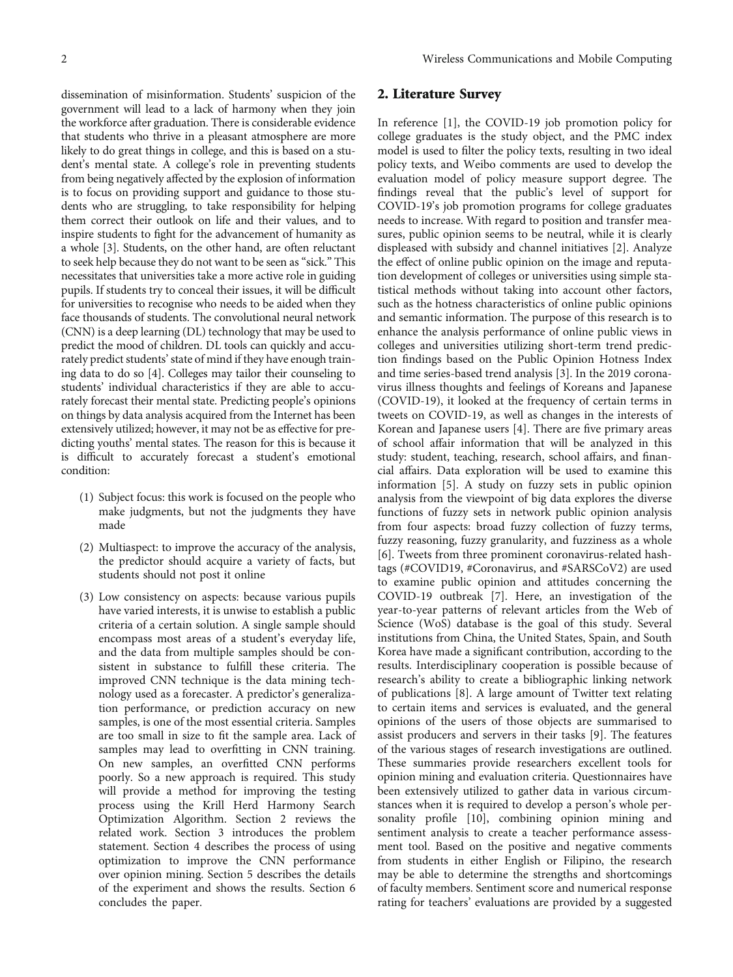dissemination of misinformation. Students' suspicion of the government will lead to a lack of harmony when they join the workforce after graduation. There is considerable evidence that students who thrive in a pleasant atmosphere are more likely to do great things in college, and this is based on a student's mental state. A college's role in preventing students from being negatively affected by the explosion of information is to focus on providing support and guidance to those students who are struggling, to take responsibility for helping them correct their outlook on life and their values, and to inspire students to fight for the advancement of humanity as a whole [\[3](#page-10-0)]. Students, on the other hand, are often reluctant to seek help because they do not want to be seen as "sick." This necessitates that universities take a more active role in guiding pupils. If students try to conceal their issues, it will be difficult for universities to recognise who needs to be aided when they face thousands of students. The convolutional neural network (CNN) is a deep learning (DL) technology that may be used to predict the mood of children. DL tools can quickly and accurately predict students' state of mind if they have enough training data to do so [\[4](#page-10-0)]. Colleges may tailor their counseling to students' individual characteristics if they are able to accurately forecast their mental state. Predicting people's opinions on things by data analysis acquired from the Internet has been extensively utilized; however, it may not be as effective for predicting youths' mental states. The reason for this is because it is difficult to accurately forecast a student's emotional condition:

- (1) Subject focus: this work is focused on the people who make judgments, but not the judgments they have made
- (2) Multiaspect: to improve the accuracy of the analysis, the predictor should acquire a variety of facts, but students should not post it online
- (3) Low consistency on aspects: because various pupils have varied interests, it is unwise to establish a public criteria of a certain solution. A single sample should encompass most areas of a student's everyday life, and the data from multiple samples should be consistent in substance to fulfill these criteria. The improved CNN technique is the data mining technology used as a forecaster. A predictor's generalization performance, or prediction accuracy on new samples, is one of the most essential criteria. Samples are too small in size to fit the sample area. Lack of samples may lead to overfitting in CNN training. On new samples, an overfitted CNN performs poorly. So a new approach is required. This study will provide a method for improving the testing process using the Krill Herd Harmony Search Optimization Algorithm. Section 2 reviews the related work. Section 3 introduces the problem statement. Section [4](#page-3-0) describes the process of using optimization to improve the CNN performance over opinion mining. Section 5 describes the details of the experiment and shows the results. Section 6 concludes the paper.

#### 2. Literature Survey

In reference [\[1\]](#page-9-0), the COVID-19 job promotion policy for college graduates is the study object, and the PMC index model is used to filter the policy texts, resulting in two ideal policy texts, and Weibo comments are used to develop the evaluation model of policy measure support degree. The findings reveal that the public's level of support for COVID-19's job promotion programs for college graduates needs to increase. With regard to position and transfer measures, public opinion seems to be neutral, while it is clearly displeased with subsidy and channel initiatives [\[2](#page-10-0)]. Analyze the effect of online public opinion on the image and reputation development of colleges or universities using simple statistical methods without taking into account other factors, such as the hotness characteristics of online public opinions and semantic information. The purpose of this research is to enhance the analysis performance of online public views in colleges and universities utilizing short-term trend prediction findings based on the Public Opinion Hotness Index and time series-based trend analysis [\[3\]](#page-10-0). In the 2019 coronavirus illness thoughts and feelings of Koreans and Japanese (COVID-19), it looked at the frequency of certain terms in tweets on COVID-19, as well as changes in the interests of Korean and Japanese users [\[4\]](#page-10-0). There are five primary areas of school affair information that will be analyzed in this study: student, teaching, research, school affairs, and financial affairs. Data exploration will be used to examine this information [\[5\]](#page-10-0). A study on fuzzy sets in public opinion analysis from the viewpoint of big data explores the diverse functions of fuzzy sets in network public opinion analysis from four aspects: broad fuzzy collection of fuzzy terms, fuzzy reasoning, fuzzy granularity, and fuzziness as a whole [\[6](#page-10-0)]. Tweets from three prominent coronavirus-related hashtags (#COVID19, #Coronavirus, and #SARSCoV2) are used to examine public opinion and attitudes concerning the COVID-19 outbreak [\[7\]](#page-10-0). Here, an investigation of the year-to-year patterns of relevant articles from the Web of Science (WoS) database is the goal of this study. Several institutions from China, the United States, Spain, and South Korea have made a significant contribution, according to the results. Interdisciplinary cooperation is possible because of research's ability to create a bibliographic linking network of publications [[8\]](#page-10-0). A large amount of Twitter text relating to certain items and services is evaluated, and the general opinions of the users of those objects are summarised to assist producers and servers in their tasks [[9\]](#page-10-0). The features of the various stages of research investigations are outlined. These summaries provide researchers excellent tools for opinion mining and evaluation criteria. Questionnaires have been extensively utilized to gather data in various circumstances when it is required to develop a person's whole personality profile [\[10\]](#page-10-0), combining opinion mining and sentiment analysis to create a teacher performance assessment tool. Based on the positive and negative comments from students in either English or Filipino, the research may be able to determine the strengths and shortcomings of faculty members. Sentiment score and numerical response rating for teachers' evaluations are provided by a suggested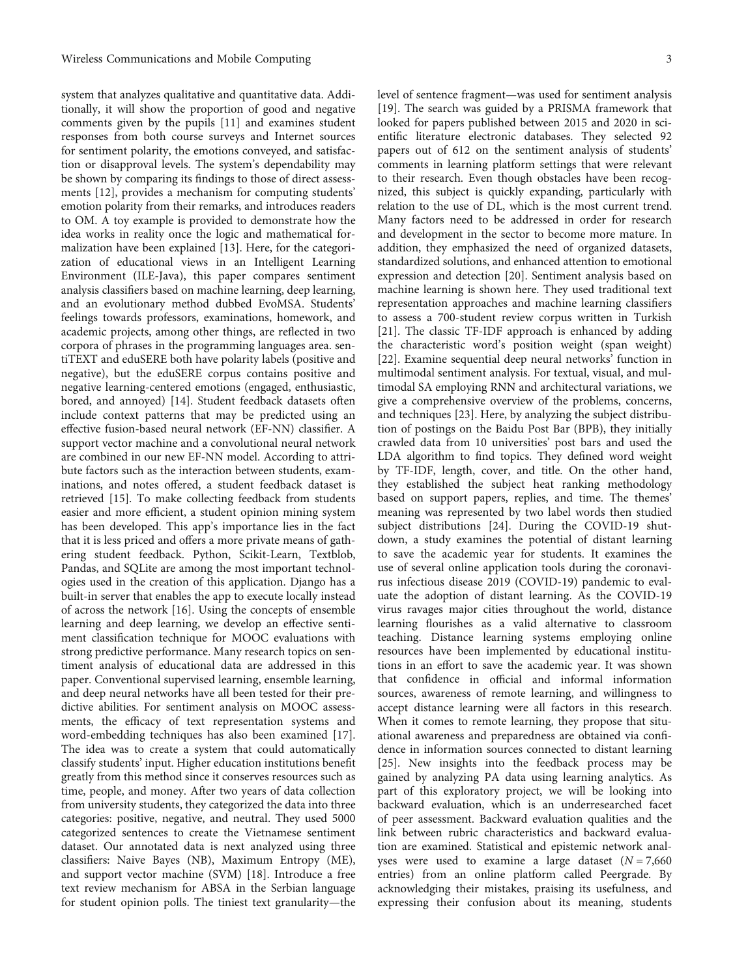system that analyzes qualitative and quantitative data. Additionally, it will show the proportion of good and negative comments given by the pupils [[11](#page-10-0)] and examines student responses from both course surveys and Internet sources for sentiment polarity, the emotions conveyed, and satisfaction or disapproval levels. The system's dependability may be shown by comparing its findings to those of direct assessments [\[12\]](#page-10-0), provides a mechanism for computing students' emotion polarity from their remarks, and introduces readers to OM. A toy example is provided to demonstrate how the idea works in reality once the logic and mathematical formalization have been explained [[13\]](#page-10-0). Here, for the categorization of educational views in an Intelligent Learning Environment (ILE-Java), this paper compares sentiment analysis classifiers based on machine learning, deep learning, and an evolutionary method dubbed EvoMSA. Students' feelings towards professors, examinations, homework, and academic projects, among other things, are reflected in two corpora of phrases in the programming languages area. sentiTEXT and eduSERE both have polarity labels (positive and negative), but the eduSERE corpus contains positive and negative learning-centered emotions (engaged, enthusiastic, bored, and annoyed) [[14](#page-10-0)]. Student feedback datasets often include context patterns that may be predicted using an effective fusion-based neural network (EF-NN) classifier. A support vector machine and a convolutional neural network are combined in our new EF-NN model. According to attribute factors such as the interaction between students, examinations, and notes offered, a student feedback dataset is retrieved [[15](#page-10-0)]. To make collecting feedback from students easier and more efficient, a student opinion mining system has been developed. This app's importance lies in the fact that it is less priced and offers a more private means of gathering student feedback. Python, Scikit-Learn, Textblob, Pandas, and SQLite are among the most important technologies used in the creation of this application. Django has a built-in server that enables the app to execute locally instead of across the network [[16\]](#page-10-0). Using the concepts of ensemble learning and deep learning, we develop an effective sentiment classification technique for MOOC evaluations with strong predictive performance. Many research topics on sentiment analysis of educational data are addressed in this paper. Conventional supervised learning, ensemble learning, and deep neural networks have all been tested for their predictive abilities. For sentiment analysis on MOOC assessments, the efficacy of text representation systems and word-embedding techniques has also been examined [[17](#page-10-0)]. The idea was to create a system that could automatically classify students' input. Higher education institutions benefit greatly from this method since it conserves resources such as time, people, and money. After two years of data collection from university students, they categorized the data into three categories: positive, negative, and neutral. They used 5000 categorized sentences to create the Vietnamese sentiment dataset. Our annotated data is next analyzed using three classifiers: Naive Bayes (NB), Maximum Entropy (ME), and support vector machine (SVM) [\[18](#page-10-0)]. Introduce a free text review mechanism for ABSA in the Serbian language for student opinion polls. The tiniest text granularity—the

level of sentence fragment—was used for sentiment analysis [\[19](#page-10-0)]. The search was guided by a PRISMA framework that looked for papers published between 2015 and 2020 in scientific literature electronic databases. They selected 92 papers out of 612 on the sentiment analysis of students' comments in learning platform settings that were relevant to their research. Even though obstacles have been recognized, this subject is quickly expanding, particularly with relation to the use of DL, which is the most current trend. Many factors need to be addressed in order for research and development in the sector to become more mature. In addition, they emphasized the need of organized datasets, standardized solutions, and enhanced attention to emotional expression and detection [[20](#page-10-0)]. Sentiment analysis based on machine learning is shown here. They used traditional text representation approaches and machine learning classifiers to assess a 700-student review corpus written in Turkish [\[21](#page-10-0)]. The classic TF-IDF approach is enhanced by adding the characteristic word's position weight (span weight) [\[22](#page-10-0)]. Examine sequential deep neural networks' function in multimodal sentiment analysis. For textual, visual, and multimodal SA employing RNN and architectural variations, we give a comprehensive overview of the problems, concerns, and techniques [\[23\]](#page-10-0). Here, by analyzing the subject distribution of postings on the Baidu Post Bar (BPB), they initially crawled data from 10 universities' post bars and used the LDA algorithm to find topics. They defined word weight by TF-IDF, length, cover, and title. On the other hand, they established the subject heat ranking methodology based on support papers, replies, and time. The themes' meaning was represented by two label words then studied subject distributions [\[24\]](#page-10-0). During the COVID-19 shutdown, a study examines the potential of distant learning to save the academic year for students. It examines the use of several online application tools during the coronavirus infectious disease 2019 (COVID-19) pandemic to evaluate the adoption of distant learning. As the COVID-19 virus ravages major cities throughout the world, distance learning flourishes as a valid alternative to classroom teaching. Distance learning systems employing online resources have been implemented by educational institutions in an effort to save the academic year. It was shown that confidence in official and informal information sources, awareness of remote learning, and willingness to accept distance learning were all factors in this research. When it comes to remote learning, they propose that situational awareness and preparedness are obtained via confidence in information sources connected to distant learning [\[25\]](#page-10-0). New insights into the feedback process may be gained by analyzing PA data using learning analytics. As part of this exploratory project, we will be looking into backward evaluation, which is an underresearched facet of peer assessment. Backward evaluation qualities and the link between rubric characteristics and backward evaluation are examined. Statistical and epistemic network analyses were used to examine a large dataset  $(N = 7,660)$ entries) from an online platform called Peergrade. By acknowledging their mistakes, praising its usefulness, and expressing their confusion about its meaning, students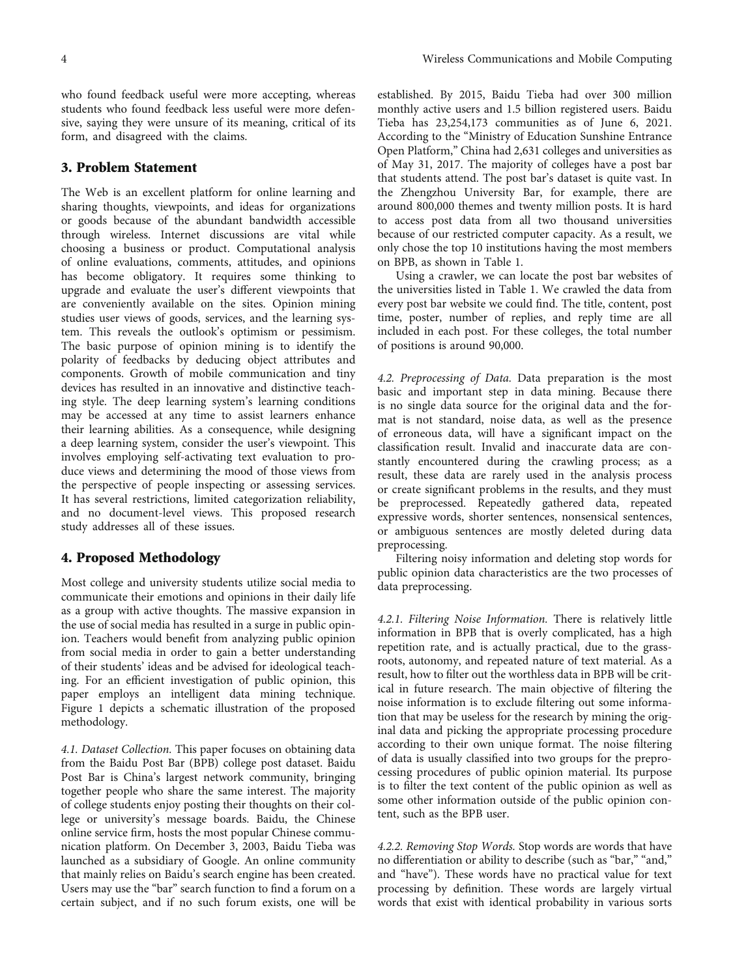<span id="page-3-0"></span>who found feedback useful were more accepting, whereas students who found feedback less useful were more defensive, saying they were unsure of its meaning, critical of its form, and disagreed with the claims.

#### 3. Problem Statement

The Web is an excellent platform for online learning and sharing thoughts, viewpoints, and ideas for organizations or goods because of the abundant bandwidth accessible through wireless. Internet discussions are vital while choosing a business or product. Computational analysis of online evaluations, comments, attitudes, and opinions has become obligatory. It requires some thinking to upgrade and evaluate the user's different viewpoints that are conveniently available on the sites. Opinion mining studies user views of goods, services, and the learning system. This reveals the outlook's optimism or pessimism. The basic purpose of opinion mining is to identify the polarity of feedbacks by deducing object attributes and components. Growth of mobile communication and tiny devices has resulted in an innovative and distinctive teaching style. The deep learning system's learning conditions may be accessed at any time to assist learners enhance their learning abilities. As a consequence, while designing a deep learning system, consider the user's viewpoint. This involves employing self-activating text evaluation to produce views and determining the mood of those views from the perspective of people inspecting or assessing services. It has several restrictions, limited categorization reliability, and no document-level views. This proposed research study addresses all of these issues.

#### 4. Proposed Methodology

Most college and university students utilize social media to communicate their emotions and opinions in their daily life as a group with active thoughts. The massive expansion in the use of social media has resulted in a surge in public opinion. Teachers would benefit from analyzing public opinion from social media in order to gain a better understanding of their students' ideas and be advised for ideological teaching. For an efficient investigation of public opinion, this paper employs an intelligent data mining technique. Figure [1](#page-4-0) depicts a schematic illustration of the proposed methodology.

4.1. Dataset Collection. This paper focuses on obtaining data from the Baidu Post Bar (BPB) college post dataset. Baidu Post Bar is China's largest network community, bringing together people who share the same interest. The majority of college students enjoy posting their thoughts on their college or university's message boards. Baidu, the Chinese online service firm, hosts the most popular Chinese communication platform. On December 3, 2003, Baidu Tieba was launched as a subsidiary of Google. An online community that mainly relies on Baidu's search engine has been created. Users may use the "bar" search function to find a forum on a certain subject, and if no such forum exists, one will be

established. By 2015, Baidu Tieba had over 300 million monthly active users and 1.5 billion registered users. Baidu Tieba has 23,254,173 communities as of June 6, 2021. According to the "Ministry of Education Sunshine Entrance Open Platform," China had 2,631 colleges and universities as of May 31, 2017. The majority of colleges have a post bar that students attend. The post bar's dataset is quite vast. In the Zhengzhou University Bar, for example, there are around 800,000 themes and twenty million posts. It is hard to access post data from all two thousand universities because of our restricted computer capacity. As a result, we only chose the top 10 institutions having the most members on BPB, as shown in Table [1](#page-4-0).

Using a crawler, we can locate the post bar websites of the universities listed in Table [1](#page-4-0). We crawled the data from every post bar website we could find. The title, content, post time, poster, number of replies, and reply time are all included in each post. For these colleges, the total number of positions is around 90,000.

4.2. Preprocessing of Data. Data preparation is the most basic and important step in data mining. Because there is no single data source for the original data and the format is not standard, noise data, as well as the presence of erroneous data, will have a significant impact on the classification result. Invalid and inaccurate data are constantly encountered during the crawling process; as a result, these data are rarely used in the analysis process or create significant problems in the results, and they must be preprocessed. Repeatedly gathered data, repeated expressive words, shorter sentences, nonsensical sentences, or ambiguous sentences are mostly deleted during data preprocessing.

Filtering noisy information and deleting stop words for public opinion data characteristics are the two processes of data preprocessing.

4.2.1. Filtering Noise Information. There is relatively little information in BPB that is overly complicated, has a high repetition rate, and is actually practical, due to the grassroots, autonomy, and repeated nature of text material. As a result, how to filter out the worthless data in BPB will be critical in future research. The main objective of filtering the noise information is to exclude filtering out some information that may be useless for the research by mining the original data and picking the appropriate processing procedure according to their own unique format. The noise filtering of data is usually classified into two groups for the preprocessing procedures of public opinion material. Its purpose is to filter the text content of the public opinion as well as some other information outside of the public opinion content, such as the BPB user.

4.2.2. Removing Stop Words. Stop words are words that have no differentiation or ability to describe (such as "bar," "and," and "have"). These words have no practical value for text processing by definition. These words are largely virtual words that exist with identical probability in various sorts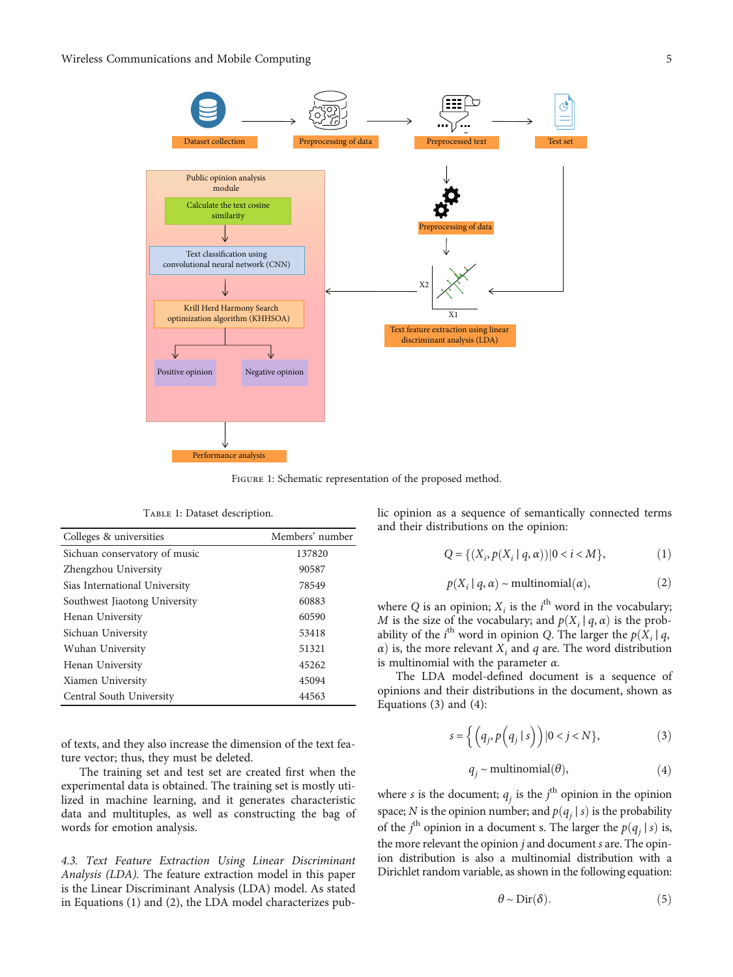<span id="page-4-0"></span>

FIGURE 1: Schematic representation of the proposed method.

|  | Тавье 1: Dataset description. |
|--|-------------------------------|
|  |                               |

| Colleges & universities       | Members' number |
|-------------------------------|-----------------|
| Sichuan conservatory of music | 137820          |
| Zhengzhou University          | 90587           |
| Sias International University | 78549           |
| Southwest Jiaotong University | 60883           |
| Henan University              | 60590           |
| Sichuan University            | 53418           |
| Wuhan University              | 51321           |
| Henan University              | 45262           |
| Xiamen University             | 45094           |
| Central South University      | 44563           |

of texts, and they also increase the dimension of the text feature vector; thus, they must be deleted.

The training set and test set are created first when the experimental data is obtained. The training set is mostly utilized in machine learning, and it generates characteristic data and multituples, as well as constructing the bag of words for emotion analysis.

4.3. Text Feature Extraction Using Linear Discriminant Analysis (LDA). The feature extraction model in this paper is the Linear Discriminant Analysis (LDA) model. As stated in Equations (1) and (2), the LDA model characterizes public opinion as a sequence of semantically connected terms and their distributions on the opinion:

$$
Q = \{(X_i, p(X_i \mid q, \alpha)) | 0 < i < M\},\tag{1}
$$

$$
p(X_i | q, \alpha) \sim \text{multinomial}(\alpha),\tag{2}
$$

where *Q* is an opinion;  $X_i$  is the *i*<sup>th</sup> word in the vocabulary; *M* is the size of the vocabulary; and  $p(X_i | q, \alpha)$  is the probability of the *i*<sup>th</sup> word in opinion *Q*. The larger the *p*( $\hat{X}_i | q$ ,  $\alpha$ ) is the more relevant *X*, and *q* are The word distribution *α*) is, the more relevant  $X_i$  and *q* are. The word distribution is multinomial with the parameter *α*.

The LDA model-defined document is a sequence of opinions and their distributions in the document, shown as Equations (3) and (4):

$$
s = \left\{ \left( q_j, p \left( q_j \mid s \right) \right) \middle| 0 < j < N \right\},\tag{3}
$$

$$
q_j \sim \text{multinomial}(\theta),\tag{4}
$$

where *s* is the document;  $q_i$  is the  $j^{\text{th}}$  opinion in the opinion space; *N* is the opinion number; and  $p(q_i | s)$  is the probability of the *j*<sup>th</sup> opinion in a document s. The larger the  $p(q_j | s)$  is, the more relevant the enjoying is and document the enjoy the more relevant the opinion *j* and document *s* are. The opinion distribution is also a multinomial distribution with a Dirichlet random variable, as shown in the following equation:

$$
\theta \sim \text{Dir}(\delta). \tag{5}
$$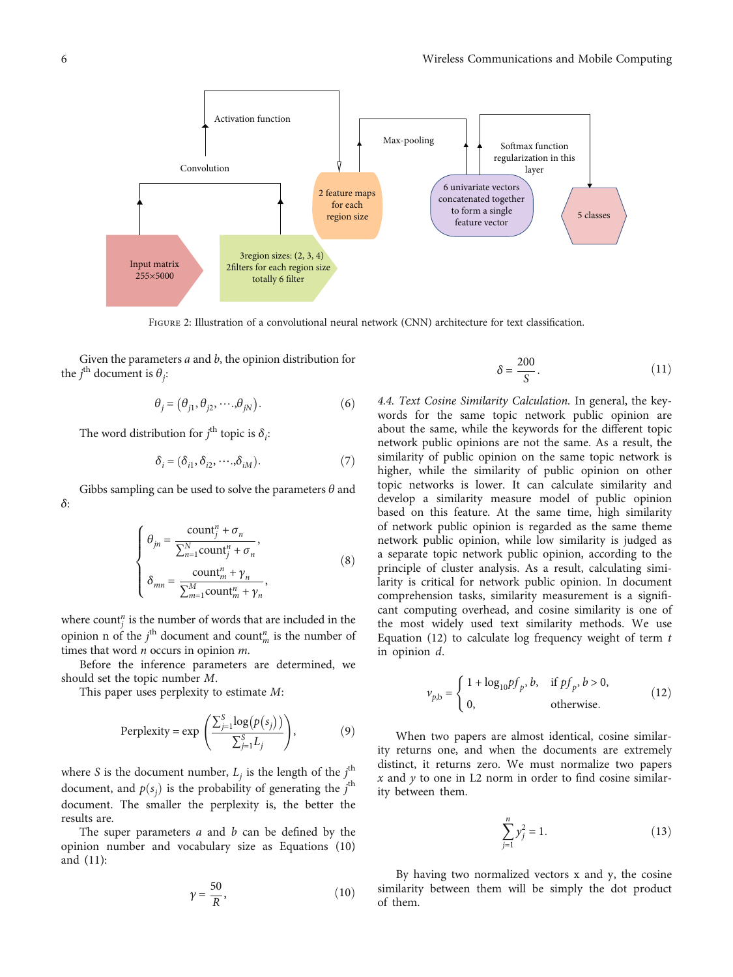Figure 2: Illustration of a convolutional neural network (CNN) architecture for text classification.

Given the parameters *a* and *b*, the opinion distribution for the  $j^{\text{th}}$  document is  $\theta_j$ :

$$
\theta_j = (\theta_{j1}, \theta_{j2}, \cdots, \theta_{jN}).
$$
\n(6)

The word distribution for  $j^{\text{th}}$  topic is  $\delta_i$ :

$$
\delta_i = (\delta_{i1}, \delta_{i2}, \cdots, \delta_{iM}).
$$
\n(7)

Gibbs sampling can be used to solve the parameters *θ* and *δ*:

$$
\begin{cases}\n\theta_{jn} = \frac{\text{count}_{j}^{n} + \sigma_{n}}{\sum_{n=1}^{N} \text{count}_{j}^{n} + \sigma_{n}}, \\
\delta_{mn} = \frac{\text{count}_{m}^{n} + \gamma_{n}}{\sum_{m=1}^{M} \text{count}_{m}^{n} + \gamma_{n}},\n\end{cases}
$$
\n(8)

where count<sup>*n*</sup> is the number of words that are included in the opinion n of the  $j^{\text{th}}$  document and count<sup>n</sup><sub>m</sub> is the number of times that word *n* occurs in opinion *m*.

Before the inference parameters are determined, we should set the topic number *M*.

This paper uses perplexity to estimate *M*:

Perplexity = exp 
$$
\left( \frac{\sum_{j=1}^{S} \log(p(s_j))}{\sum_{j=1}^{S} L_j} \right)
$$
, (9)

where *S* is the document number,  $L_j$  is the length of the  $j^{\text{th}}$ document, and  $p(s_j)$  is the probability of generating the *j*<sup>th</sup><br>document. The emaller the perplayity is the hetter the document. The smaller the perplexity is, the better the results are.

The super parameters *a* and *b* can be defined by the opinion number and vocabulary size as Equations (10) and (11):

$$
\gamma = \frac{50}{R},\tag{10}
$$

$$
\delta = \frac{200}{S}.\tag{11}
$$

4.4. Text Cosine Similarity Calculation. In general, the keywords for the same topic network public opinion are about the same, while the keywords for the different topic network public opinions are not the same. As a result, the similarity of public opinion on the same topic network is higher, while the similarity of public opinion on other topic networks is lower. It can calculate similarity and develop a similarity measure model of public opinion based on this feature. At the same time, high similarity of network public opinion is regarded as the same theme network public opinion, while low similarity is judged as a separate topic network public opinion, according to the principle of cluster analysis. As a result, calculating similarity is critical for network public opinion. In document comprehension tasks, similarity measurement is a significant computing overhead, and cosine similarity is one of the most widely used text similarity methods. We use Equation (12) to calculate log frequency weight of term *t* in opinion *d*.

$$
\nu_{p,b} = \begin{cases} 1 + \log_{10} pf_p, b, & \text{if } pf_p, b > 0, \\ 0, & \text{otherwise.} \end{cases}
$$
 (12)

When two papers are almost identical, cosine similarity returns one, and when the documents are extremely distinct, it returns zero. We must normalize two papers *x* and *y* to one in L2 norm in order to find cosine similarity between them.

$$
\sum_{j=1}^{n} y_j^2 = 1.
$$
 (13)

By having two normalized vectors x and y, the cosine similarity between them will be simply the dot product of them.

<span id="page-5-0"></span>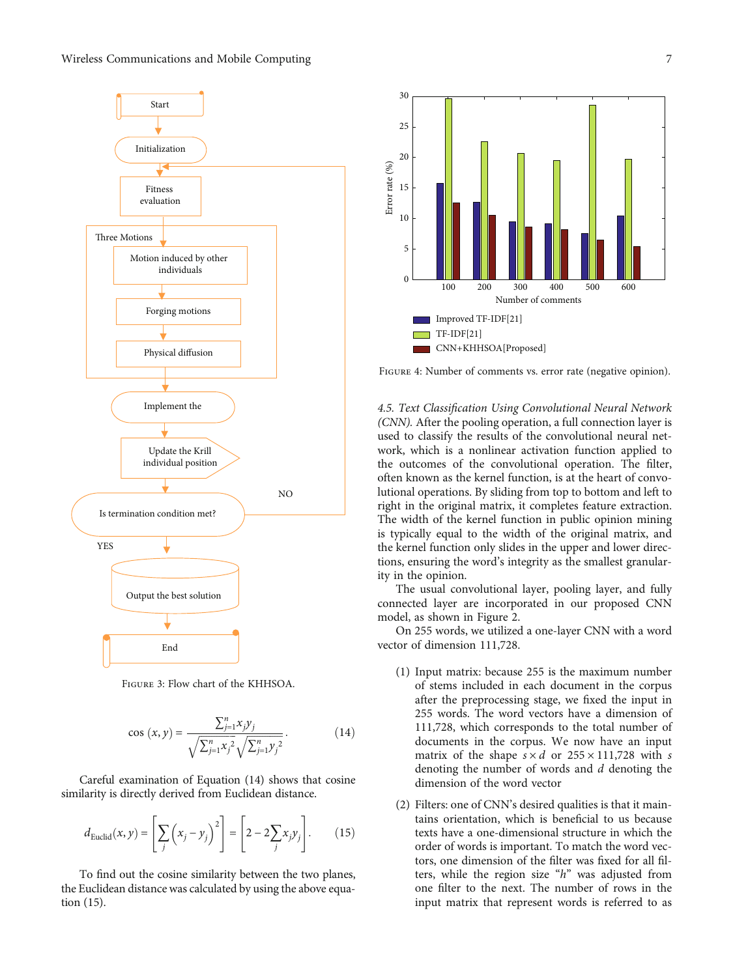<span id="page-6-0"></span>

Figure 3: Flow chart of the KHHSOA.

$$
\cos(x, y) = \frac{\sum_{j=1}^{n} x_j y_j}{\sqrt{\sum_{j=1}^{n} x_j^2} \sqrt{\sum_{j=1}^{n} y_j^2}}.
$$
 (14)

Careful examination of Equation (14) shows that cosine similarity is directly derived from Euclidean distance.

$$
d_{\text{Euclid}}(x, y) = \left[\sum_{j} \left(x_{j} - y_{j}\right)^{2}\right] = \left[2 - 2\sum_{j} x_{j} y_{j}\right].\tag{15}
$$

To find out the cosine similarity between the two planes, the Euclidean distance was calculated by using the above equation (15).



Figure 4: Number of comments vs. error rate (negative opinion).

4.5. Text Classification Using Convolutional Neural Network (CNN). After the pooling operation, a full connection layer is used to classify the results of the convolutional neural network, which is a nonlinear activation function applied to the outcomes of the convolutional operation. The filter, often known as the kernel function, is at the heart of convolutional operations. By sliding from top to bottom and left to right in the original matrix, it completes feature extraction. The width of the kernel function in public opinion mining is typically equal to the width of the original matrix, and the kernel function only slides in the upper and lower directions, ensuring the word's integrity as the smallest granularity in the opinion.

The usual convolutional layer, pooling layer, and fully connected layer are incorporated in our proposed CNN model, as shown in Figure [2.](#page-5-0)

On 255 words, we utilized a one-layer CNN with a word vector of dimension 111,728.

- (1) Input matrix: because 255 is the maximum number of stems included in each document in the corpus after the preprocessing stage, we fixed the input in 255 words. The word vectors have a dimension of 111,728, which corresponds to the total number of documents in the corpus. We now have an input matrix of the shape  $s \times d$  or  $255 \times 111,728$  with *s* denoting the number of words and *d* denoting the dimension of the word vector
- (2) Filters: one of CNN's desired qualities is that it maintains orientation, which is beneficial to us because texts have a one-dimensional structure in which the order of words is important. To match the word vectors, one dimension of the filter was fixed for all filters, while the region size "*h*" was adjusted from one filter to the next. The number of rows in the input matrix that represent words is referred to as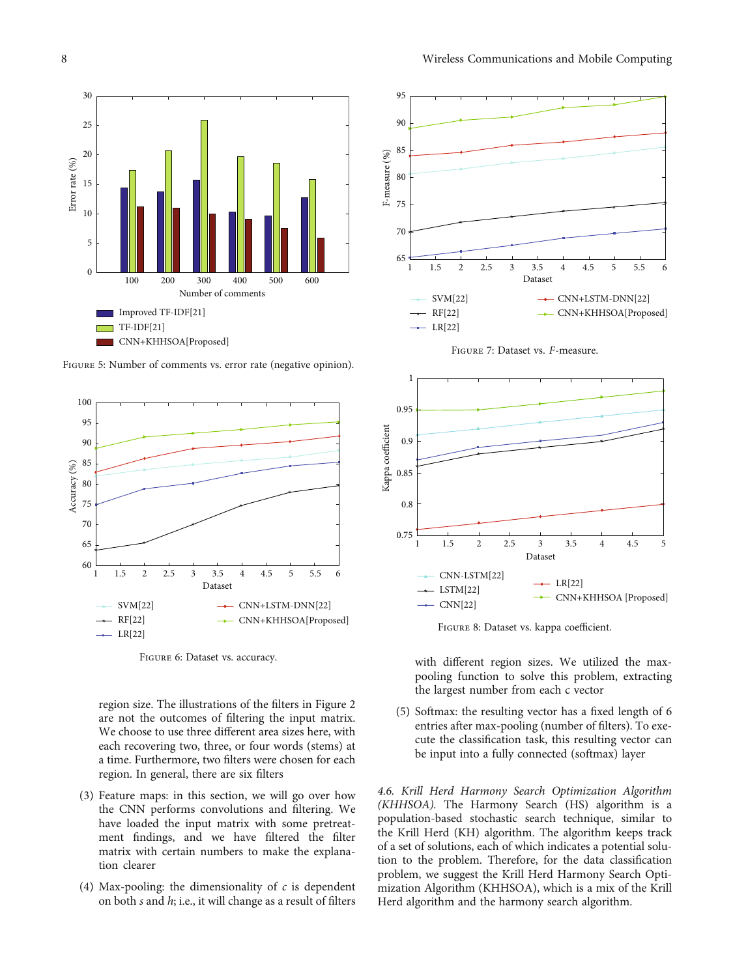<span id="page-7-0"></span>

FIGURE 5: Number of comments vs. error rate (negative opinion).



Figure 6: Dataset vs. accuracy.

region size. The illustrations of the filters in Figure [2](#page-5-0) are not the outcomes of filtering the input matrix. We choose to use three different area sizes here, with each recovering two, three, or four words (stems) at a time. Furthermore, two filters were chosen for each region. In general, there are six filters

- (3) Feature maps: in this section, we will go over how the CNN performs convolutions and filtering. We have loaded the input matrix with some pretreatment findings, and we have filtered the filter matrix with certain numbers to make the explanation clearer
- (4) Max-pooling: the dimensionality of *c* is dependent on both *s* and *h*; i.e., it will change as a result of filters



Figure 7: Dataset vs. *<sup>F</sup>*-measure.





with different region sizes. We utilized the maxpooling function to solve this problem, extracting the largest number from each c vector

(5) Softmax: the resulting vector has a fixed length of 6 entries after max-pooling (number of filters). To execute the classification task, this resulting vector can be input into a fully connected (softmax) layer

4.6. Krill Herd Harmony Search Optimization Algorithm (KHHSOA). The Harmony Search (HS) algorithm is a population-based stochastic search technique, similar to the Krill Herd (KH) algorithm. The algorithm keeps track of a set of solutions, each of which indicates a potential solution to the problem. Therefore, for the data classification problem, we suggest the Krill Herd Harmony Search Optimization Algorithm (KHHSOA), which is a mix of the Krill Herd algorithm and the harmony search algorithm.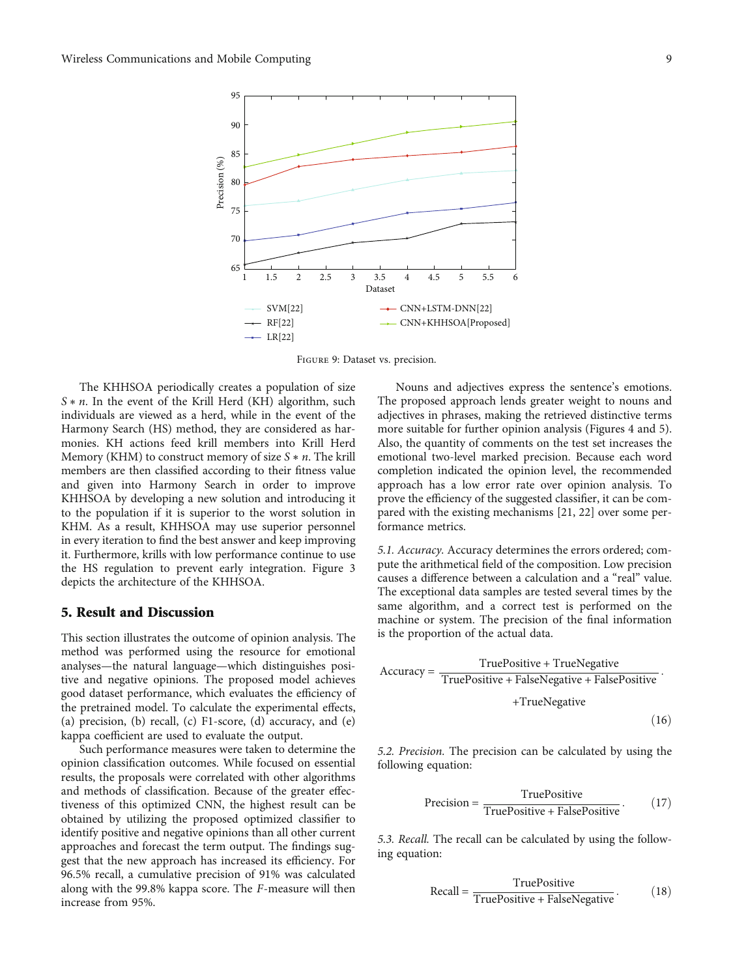<span id="page-8-0"></span>

Figure 9: Dataset vs. precision.

The KHHSOA periodically creates a population of size *S* ∗ *n*. In the event of the Krill Herd (KH) algorithm, such individuals are viewed as a herd, while in the event of the Harmony Search (HS) method, they are considered as harmonies. KH actions feed krill members into Krill Herd Memory (KHM) to construct memory of size *S* ∗ *n*. The krill members are then classified according to their fitness value and given into Harmony Search in order to improve KHHSOA by developing a new solution and introducing it to the population if it is superior to the worst solution in KHM. As a result, KHHSOA may use superior personnel in every iteration to find the best answer and keep improving it. Furthermore, krills with low performance continue to use the HS regulation to prevent early integration. Figure [3](#page-6-0) depicts the architecture of the KHHSOA.

#### 5. Result and Discussion

This section illustrates the outcome of opinion analysis. The method was performed using the resource for emotional analyses—the natural language—which distinguishes positive and negative opinions. The proposed model achieves good dataset performance, which evaluates the efficiency of the pretrained model. To calculate the experimental effects, (a) precision, (b) recall, (c)  $F1$ -score, (d) accuracy, and (e) kappa coefficient are used to evaluate the output.

Such performance measures were taken to determine the opinion classification outcomes. While focused on essential results, the proposals were correlated with other algorithms and methods of classification. Because of the greater effectiveness of this optimized CNN, the highest result can be obtained by utilizing the proposed optimized classifier to identify positive and negative opinions than all other current approaches and forecast the term output. The findings suggest that the new approach has increased its efficiency. For 96.5% recall, a cumulative precision of 91% was calculated along with the 99.8% kappa score. The *F*-measure will then increase from 95%.

Nouns and adjectives express the sentence's emotions. The proposed approach lends greater weight to nouns and adjectives in phrases, making the retrieved distinctive terms more suitable for further opinion analysis (Figures [4](#page-6-0) and [5](#page-7-0)). Also, the quantity of comments on the test set increases the emotional two-level marked precision. Because each word completion indicated the opinion level, the recommended approach has a low error rate over opinion analysis. To prove the efficiency of the suggested classifier, it can be compared with the existing mechanisms [\[21, 22](#page-10-0)] over some performance metrics.

5.1. Accuracy. Accuracy determines the errors ordered; compute the arithmetical field of the composition. Low precision causes a difference between a calculation and a "real" value. The exceptional data samples are tested several times by the same algorithm, and a correct test is performed on the machine or system. The precision of the final information is the proportion of the actual data.

$$
Accuracy = \frac{TruePositive + TrueNegative}{TruePositive + FalseNegative + FalsePositive + TrueNegative + TrueNegative}
$$
\n(16)

5.2. Precision. The precision can be calculated by using the following equation:

$$
Precision = \frac{TruePositive}{TruePositive + FalsePositive}.
$$
 (17)

5.3. Recall. The recall can be calculated by using the following equation:

$$
Recall = \frac{TruePositive}{TruePositive + FalseNegative}.
$$
 (18)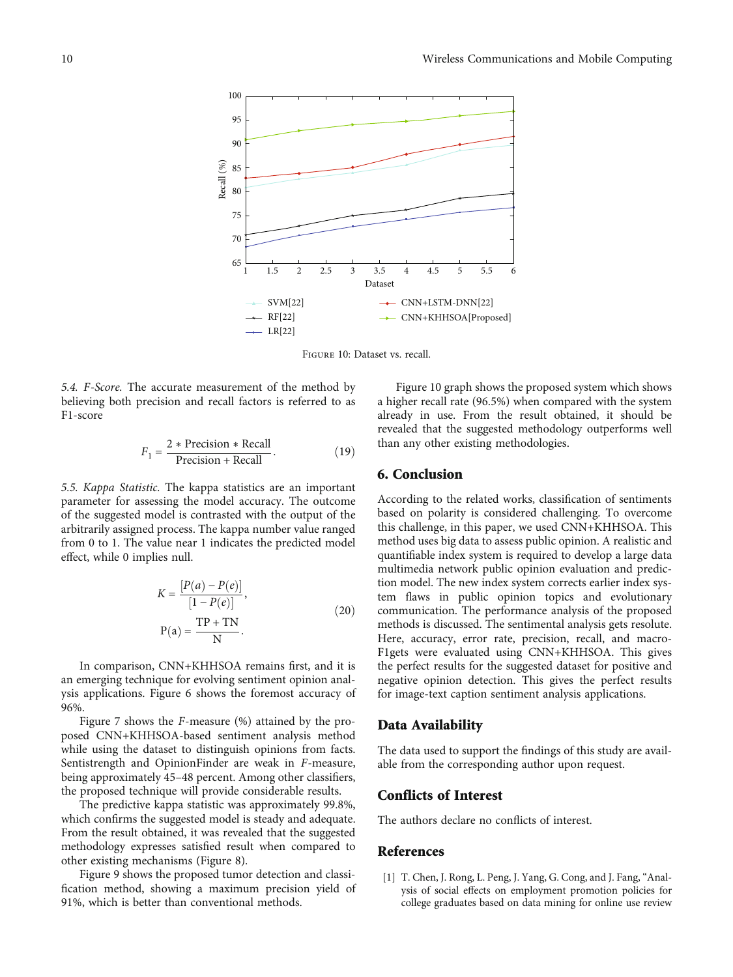<span id="page-9-0"></span>

Figure 10: Dataset vs. recall.

5.4. *F*-Score. The accurate measurement of the method by believing both precision and recall factors is referred to as F1-score

$$
F_1 = \frac{2 * \text{Precision} * \text{Recall}}{\text{Precision} + \text{Recall}}.\tag{19}
$$

5.5. Kappa Statistic. The kappa statistics are an important parameter for assessing the model accuracy. The outcome of the suggested model is contrasted with the output of the arbitrarily assigned process. The kappa number value ranged from 0 to 1. The value near 1 indicates the predicted model effect, while 0 implies null.

$$
K = \frac{[P(a) - P(e)]}{[1 - P(e)]},
$$
  
\n
$$
P(a) = \frac{TP + TN}{N}.
$$
\n(20)

In comparison, CNN+KHHSOA remains first, and it is an emerging technique for evolving sentiment opinion analysis applications. Figure [6](#page-7-0) shows the foremost accuracy of 96%.

Figure [7](#page-7-0) shows the *F*-measure (%) attained by the proposed CNN+KHHSOA-based sentiment analysis method while using the dataset to distinguish opinions from facts. Sentistrength and OpinionFinder are weak in *F*-measure, being approximately 45–48 percent. Among other classifiers, the proposed technique will provide considerable results.

The predictive kappa statistic was approximately 99.8%, which confirms the suggested model is steady and adequate. From the result obtained, it was revealed that the suggested methodology expresses satisfied result when compared to other existing mechanisms (Figure [8](#page-7-0)).

Figure [9](#page-8-0) shows the proposed tumor detection and classification method, showing a maximum precision yield of 91%, which is better than conventional methods.

Figure 10 graph shows the proposed system which shows a higher recall rate (96.5%) when compared with the system already in use. From the result obtained, it should be revealed that the suggested methodology outperforms well than any other existing methodologies.

#### 6. Conclusion

According to the related works, classification of sentiments based on polarity is considered challenging. To overcome this challenge, in this paper, we used CNN+KHHSOA. This method uses big data to assess public opinion. A realistic and quantifiable index system is required to develop a large data multimedia network public opinion evaluation and prediction model. The new index system corrects earlier index system flaws in public opinion topics and evolutionary communication. The performance analysis of the proposed methods is discussed. The sentimental analysis gets resolute. Here, accuracy, error rate, precision, recall, and macro-F1gets were evaluated using CNN+KHHSOA. This gives the perfect results for the suggested dataset for positive and negative opinion detection. This gives the perfect results for image-text caption sentiment analysis applications.

#### Data Availability

The data used to support the findings of this study are available from the corresponding author upon request.

#### Conflicts of Interest

The authors declare no conflicts of interest.

#### References

[1] T. Chen, J. Rong, L. Peng, J. Yang, G. Cong, and J. Fang, "Analysis of social effects on employment promotion policies for college graduates based on data mining for online use review